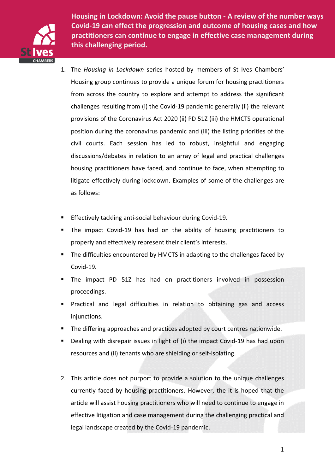

**challenging period. this challenging period.Housing in Lockdown: Avoid the pause button - A review of the number ways Covid-19 can effect the progression and outcome of housing cases and how practitioners can continue to engage in effective case management during** 

- 1. The *Housing in Lockdown* series hosted by members of St Ives Chambers' Housing group continues to provide a unique forum for housing practitioners from across the country to explore and attempt to address the significant challenges resulting from (i) the Covid-19 pandemic generally (ii) the relevant provisions of the Coronavirus Act 2020 (ii) PD 51Z (iii) the HMCTS operational position during the coronavirus pandemic and (iii) the listing priorities of the civil courts. Each session has led to robust, insightful and engaging discussions/debates in relation to an array of legal and practical challenges housing practitioners have faced, and continue to face, when attempting to litigate effectively during lockdown. Examples of some of the challenges are as follows:
- Effectively tackling anti-social behaviour during Covid-19.
- The impact Covid-19 has had on the ability of housing practitioners to properly and effectively represent their client's interests.
- The difficulties encountered by HMCTS in adapting to the challenges faced by Covid-19.
- The impact PD 51Z has had on practitioners involved in possession proceedings.
- Practical and legal difficulties in relation to obtaining gas and access injunctions.
- The differing approaches and practices adopted by court centres nationwide.
- Dealing with disrepair issues in light of (i) the impact Covid-19 has had upon resources and (ii) tenants who are shielding or self-isolating.
- 2. This article does not purport to provide a solution to the unique challenges currently faced by housing practitioners. However, the it is hoped that the article will assist housing practitioners who will need to continue to engage in effective litigation and case management during the challenging practical and legal landscape created by the Covid-19 pandemic.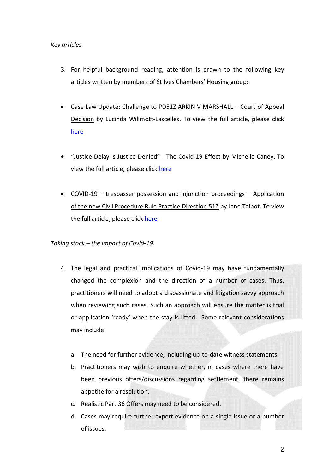# *Key articles.*

- 3. For helpful background reading, attention is drawn to the following key articles written by members of St Ives Chambers' Housing group:
- Case Law Update: Challenge to PD51Z ARKIN V MARSHALL Court of Appeal Decision by Lucinda Willmott-Lascelles. To view the full article, please click [here](https://www.stiveschambers.co.uk/case-law-update-challenge-to-pd51z-arkin-v-marshall-court-of-appeal-decision/)
- "Justice Delay is Justice Denied" The Covid-19 Effect by Michelle Caney. To view the full article, please click [here](https://www.stiveschambers.co.uk/justice-delayed-is-justice-denied-the-covid-19-effect/)
- COVID-19 trespasser possession and injunction proceedings Application of the new Civil Procedure Rule Practice Direction 51Z by Jane Talbot. To view the full article, please click [here](https://www.stiveschambers.co.uk/covid-19-trespasser-possession-and-injunction-proceedings-application-of-the-new-civil-procedure-rule-practice-direction-51z/)

*Taking stock – the impact of Covid-19.*

- 4. The legal and practical implications of Covid-19 may have fundamentally changed the complexion and the direction of a number of cases. Thus, practitioners will need to adopt a dispassionate and litigation savvy approach when reviewing such cases. Such an approach will ensure the matter is trial or application 'ready' when the stay is lifted. Some relevant considerations may include:
	- a. The need for further evidence, including up-to-date witness statements.
	- b. Practitioners may wish to enquire whether, in cases where there have been previous offers/discussions regarding settlement, there remains appetite for a resolution.
	- c. Realistic Part 36 Offers may need to be considered.
	- d. Cases may require further expert evidence on a single issue or a number of issues.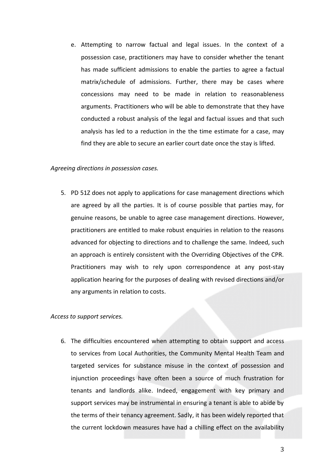e. Attempting to narrow factual and legal issues. In the context of a possession case, practitioners may have to consider whether the tenant has made sufficient admissions to enable the parties to agree a factual matrix/schedule of admissions. Further, there may be cases where concessions may need to be made in relation to reasonableness arguments. Practitioners who will be able to demonstrate that they have conducted a robust analysis of the legal and factual issues and that such analysis has led to a reduction in the the time estimate for a case, may find they are able to secure an earlier court date once the stay is lifted.

#### *Agreeing directions in possession cases.*

5. PD 51Z does not apply to applications for case management directions which are agreed by all the parties. It is of course possible that parties may, for genuine reasons, be unable to agree case management directions. However, practitioners are entitled to make robust enquiries in relation to the reasons advanced for objecting to directions and to challenge the same. Indeed, such an approach is entirely consistent with the Overriding Objectives of the CPR. Practitioners may wish to rely upon correspondence at any post-stay application hearing for the purposes of dealing with revised directions and/or any arguments in relation to costs.

## *Access to support services.*

6. The difficulties encountered when attempting to obtain support and access to services from Local Authorities, the Community Mental Health Team and targeted services for substance misuse in the context of possession and injunction proceedings have often been a source of much frustration for tenants and landlords alike. Indeed, engagement with key primary and support services may be instrumental in ensuring a tenant is able to abide by the terms of their tenancy agreement. Sadly, it has been widely reported that the current lockdown measures have had a chilling effect on the availability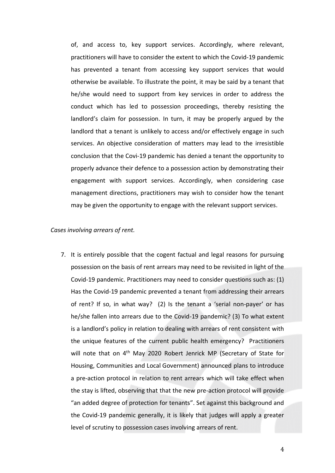of, and access to, key support services. Accordingly, where relevant, practitioners will have to consider the extent to which the Covid-19 pandemic has prevented a tenant from accessing key support services that would otherwise be available. To illustrate the point, it may be said by a tenant that he/she would need to support from key services in order to address the conduct which has led to possession proceedings, thereby resisting the landlord's claim for possession. In turn, it may be properly argued by the landlord that a tenant is unlikely to access and/or effectively engage in such services. An objective consideration of matters may lead to the irresistible conclusion that the Covi-19 pandemic has denied a tenant the opportunity to properly advance their defence to a possession action by demonstrating their engagement with support services. Accordingly, when considering case management directions, practitioners may wish to consider how the tenant may be given the opportunity to engage with the relevant support services.

### *Cases involving arrears of rent.*

7. It is entirely possible that the cogent factual and legal reasons for pursuing possession on the basis of rent arrears may need to be revisited in light of the Covid-19 pandemic. Practitioners may need to consider questions such as: (1) Has the Covid-19 pandemic prevented a tenant from addressing their arrears of rent? If so, in what way? (2) Is the tenant a 'serial non-payer' or has he/she fallen into arrears due to the Covid-19 pandemic? (3) To what extent is a landlord's policy in relation to dealing with arrears of rent consistent with the unique features of the current public health emergency? Practitioners will note that on 4<sup>th</sup> May 2020 Robert Jenrick MP (Secretary of State for Housing, Communities and Local Government) announced plans to introduce a pre-action protocol in relation to rent arrears which will take effect when the stay is lifted, observing that that the new pre-action protocol will provide "an added degree of protection for tenants". Set against this background and the Covid-19 pandemic generally, it is likely that judges will apply a greater level of scrutiny to possession cases involving arrears of rent.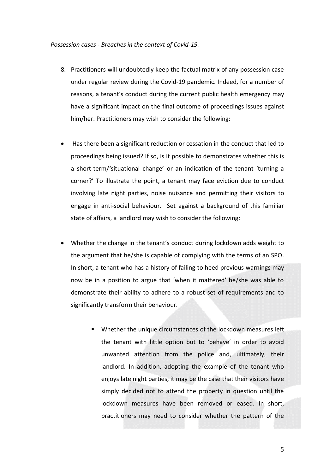#### *Possession cases - Breaches in the context of Covid-19.*

- 8. Practitioners will undoubtedly keep the factual matrix of any possession case under regular review during the Covid-19 pandemic. Indeed, for a number of reasons, a tenant's conduct during the current public health emergency may have a significant impact on the final outcome of proceedings issues against him/her. Practitioners may wish to consider the following:
- Has there been a significant reduction or cessation in the conduct that led to proceedings being issued? If so, is it possible to demonstrates whether this is a short-term/'situational change' or an indication of the tenant 'turning a corner?' To illustrate the point, a tenant may face eviction due to conduct involving late night parties, noise nuisance and permitting their visitors to engage in anti-social behaviour. Set against a background of this familiar state of affairs, a landlord may wish to consider the following:
- Whether the change in the tenant's conduct during lockdown adds weight to the argument that he/she is capable of complying with the terms of an SPO. In short, a tenant who has a history of failing to heed previous warnings may now be in a position to argue that 'when it mattered' he/she was able to demonstrate their ability to adhere to a robust set of requirements and to significantly transform their behaviour.
	- Whether the unique circumstances of the lockdown measures left the tenant with little option but to 'behave' in order to avoid unwanted attention from the police and, ultimately, their landlord. In addition, adopting the example of the tenant who enjoys late night parties, it may be the case that their visitors have simply decided not to attend the property in question until the lockdown measures have been removed or eased. In short, practitioners may need to consider whether the pattern of the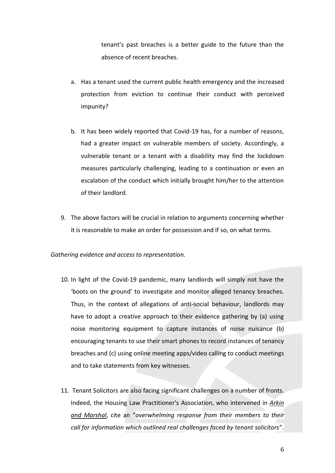tenant's past breaches is a better guide to the future than the absence of recent breaches.

- a. Has a tenant used the current public health emergency and the increased protection from eviction to continue their conduct with perceived impunity?
- b. It has been widely reported that Covid-19 has, for a number of reasons, had a greater impact on vulnerable members of society. Accordingly, a vulnerable tenant or a tenant with a disability may find the lockdown measures particularly challenging, leading to a continuation or even an escalation of the conduct which initially brought him/her to the attention of their landlord.
- 9. The above factors will be crucial in relation to arguments concerning whether it is reasonable to make an order for possession and if so, on what terms.

## *Gathering evidence and access to representation.*

- 10. In light of the Covid-19 pandemic, many landlords will simply not have the 'boots on the ground' to investigate and monitor alleged tenancy breaches. Thus, in the context of allegations of anti-social behaviour, landlords may have to adopt a creative approach to their evidence gathering by (a) using noise monitoring equipment to capture instances of noise nuisance (b) encouraging tenants to use their smart phones to record instances of tenancy breaches and (c) using online meeting apps/video calling to conduct meetings and to take statements from key witnesses.
- 11. Tenant Solicitors are also facing significant challenges on a number of fronts. Indeed, the Housing Law Practitioner's Association, who intervened in *Arkin and Marshal*, cite an "*overwhelming response from their members to their call for information which outlined real challenges faced by tenant solicitors*".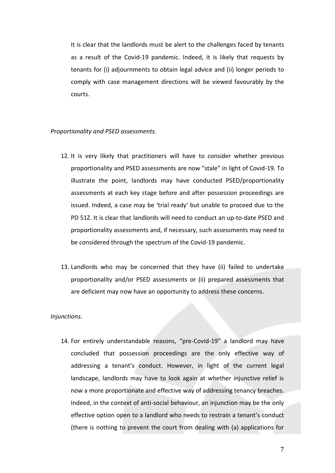It is clear that the landlords must be alert to the challenges faced by tenants as a result of the Covid-19 pandemic. Indeed, it is likely that requests by tenants for (i) adjournments to obtain legal advice and (ii) longer periods to comply with case management directions will be viewed favourably by the courts.

### *Proportionality and PSED assessments.*

- 12. It is very likely that practitioners will have to consider whether previous proportionality and PSED assessments are now "stale" in light of Covid-19. To illustrate the point, landlords may have conducted PSED/proportionality assessments at each key stage before and after possession proceedings are issued. Indeed, a case may be 'trial ready' but unable to proceed due to the PD 51Z. It is clear that landlords will need to conduct an up-to-date PSED and proportionality assessments and, if necessary, such assessments may need to be considered through the spectrum of the Covid-19 pandemic.
- 13. Landlords who may be concerned that they have (ii) failed to undertake proportionality and/or PSED assessments or (ii) prepared assessments that are deficient may now have an opportunity to address these concerns.

## *Injunctions.*

14. For entirely understandable reasons, "pre-Covid-19" a landlord may have concluded that possession proceedings are the only effective way of addressing a tenant's conduct. However, in light of the current legal landscape, landlords may have to look again at whether injunctive relief is now a more proportionate and effective way of addressing tenancy breaches. Indeed, in the context of anti-social behaviour, an injunction may be the only effective option open to a landlord who needs to restrain a tenant's conduct (there is nothing to prevent the court from dealing with (a) applications for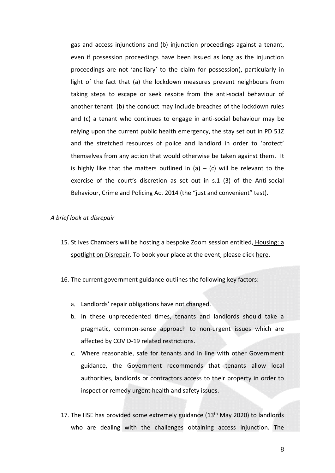gas and access injunctions and (b) injunction proceedings against a tenant, even if possession proceedings have been issued as long as the injunction proceedings are not 'ancillary' to the claim for possession), particularly in light of the fact that (a) the lockdown measures prevent neighbours from taking steps to escape or seek respite from the anti-social behaviour of another tenant (b) the conduct may include breaches of the lockdown rules and (c) a tenant who continues to engage in anti-social behaviour may be relying upon the current public health emergency, the stay set out in PD 51Z and the stretched resources of police and landlord in order to 'protect' themselves from any action that would otherwise be taken against them. It is highly like that the matters outlined in (a)  $-$  (c) will be relevant to the exercise of the court's discretion as set out in s.1 (3) of the Anti-social Behaviour, Crime and Policing Act 2014 (the "just and convenient" test).

## *A brief look at disrepair*

- 15. St Ives Chambers will be hosting a bespoke Zoom session entitled, Housing: a spotlight on Disrepair. To book your place at the event, please click here.
- 16. The current government guidance outlines the following key factors:
	- a. Landlords' repair obligations have not changed.
	- b. In these unprecedented times, tenants and landlords should take a pragmatic, common-sense approach to non-urgent issues which are affected by COVID-19 related restrictions.
	- c. Where reasonable, safe for tenants and in line with other Government guidance, the Government recommends that tenants allow local authorities, landlords or contractors access to their property in order to inspect or remedy urgent health and safety issues.
- 17. The HSE has provided some extremely guidance  $(13<sup>th</sup>$  May 2020) to landlords who are dealing with the challenges obtaining access injunction. The